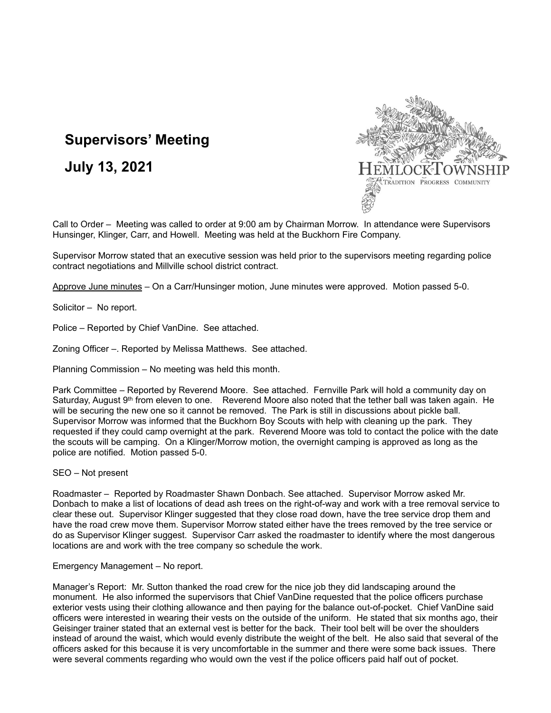## **Supervisors' Meeting**

**July 13, 2021**



Call to Order – Meeting was called to order at 9:00 am by Chairman Morrow. In attendance were Supervisors Hunsinger, Klinger, Carr, and Howell. Meeting was held at the Buckhorn Fire Company.

Supervisor Morrow stated that an executive session was held prior to the supervisors meeting regarding police contract negotiations and Millville school district contract.

Approve June minutes – On a Carr/Hunsinger motion, June minutes were approved. Motion passed 5-0.

Solicitor – No report.

Police – Reported by Chief VanDine. See attached.

Zoning Officer –. Reported by Melissa Matthews. See attached.

Planning Commission – No meeting was held this month.

Park Committee – Reported by Reverend Moore. See attached. Fernville Park will hold a community day on Saturday, August 9<sup>th</sup> from eleven to one. Reverend Moore also noted that the tether ball was taken again. He will be securing the new one so it cannot be removed. The Park is still in discussions about pickle ball. Supervisor Morrow was informed that the Buckhorn Boy Scouts with help with cleaning up the park. They requested if they could camp overnight at the park. Reverend Moore was told to contact the police with the date the scouts will be camping. On a Klinger/Morrow motion, the overnight camping is approved as long as the police are notified. Motion passed 5-0.

SEO – Not present

Roadmaster – Reported by Roadmaster Shawn Donbach. See attached. Supervisor Morrow asked Mr. Donbach to make a list of locations of dead ash trees on the right-of-way and work with a tree removal service to clear these out. Supervisor Klinger suggested that they close road down, have the tree service drop them and have the road crew move them. Supervisor Morrow stated either have the trees removed by the tree service or do as Supervisor Klinger suggest. Supervisor Carr asked the roadmaster to identify where the most dangerous locations are and work with the tree company so schedule the work.

Emergency Management – No report.

Manager's Report: Mr. Sutton thanked the road crew for the nice job they did landscaping around the monument. He also informed the supervisors that Chief VanDine requested that the police officers purchase exterior vests using their clothing allowance and then paying for the balance out-of-pocket. Chief VanDine said officers were interested in wearing their vests on the outside of the uniform. He stated that six months ago, their Geisinger trainer stated that an external vest is better for the back. Their tool belt will be over the shoulders instead of around the waist, which would evenly distribute the weight of the belt. He also said that several of the officers asked for this because it is very uncomfortable in the summer and there were some back issues. There were several comments regarding who would own the vest if the police officers paid half out of pocket.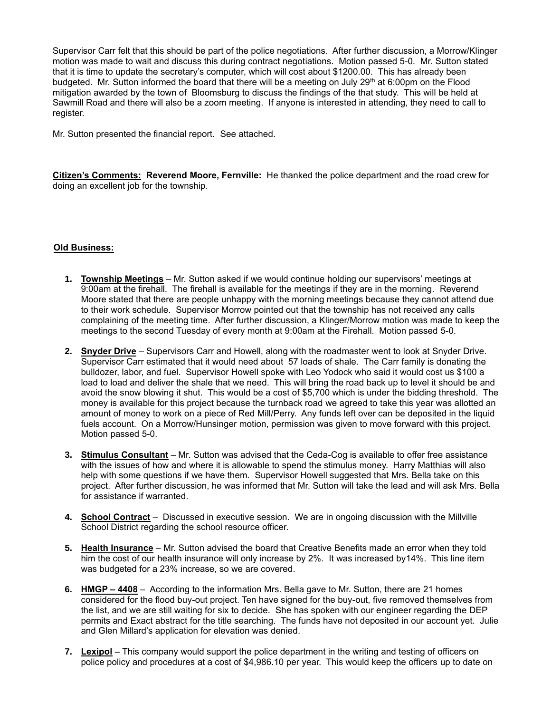Supervisor Carr felt that this should be part of the police negotiations. After further discussion, a Morrow/Klinger motion was made to wait and discuss this during contract negotiations. Motion passed 5-0. Mr. Sutton stated that it is time to update the secretary's computer, which will cost about \$1200.00. This has already been budgeted. Mr. Sutton informed the board that there will be a meeting on July 29th at 6:00pm on the Flood mitigation awarded by the town of Bloomsburg to discuss the findings of the that study. This will be held at Sawmill Road and there will also be a zoom meeting. If anyone is interested in attending, they need to call to register.

Mr. Sutton presented the financial report. See attached.

**Citizen's Comments: Reverend Moore, Fernville:** He thanked the police department and the road crew for doing an excellent job for the township.

## **Old Business:**

- **1. Township Meetings** Mr. Sutton asked if we would continue holding our supervisors' meetings at 9:00am at the firehall. The firehall is available for the meetings if they are in the morning. Reverend Moore stated that there are people unhappy with the morning meetings because they cannot attend due to their work schedule. Supervisor Morrow pointed out that the township has not received any calls complaining of the meeting time. After further discussion, a Klinger/Morrow motion was made to keep the meetings to the second Tuesday of every month at 9:00am at the Firehall. Motion passed 5-0.
- **2. Snyder Drive** Supervisors Carr and Howell, along with the roadmaster went to look at Snyder Drive. Supervisor Carr estimated that it would need about 57 loads of shale. The Carr family is donating the bulldozer, labor, and fuel. Supervisor Howell spoke with Leo Yodock who said it would cost us \$100 a load to load and deliver the shale that we need. This will bring the road back up to level it should be and avoid the snow blowing it shut. This would be a cost of \$5,700 which is under the bidding threshold. The money is available for this project because the turnback road we agreed to take this year was allotted an amount of money to work on a piece of Red Mill/Perry. Any funds left over can be deposited in the liquid fuels account. On a Morrow/Hunsinger motion, permission was given to move forward with this project. Motion passed 5-0.
- **3. Stimulus Consultant** Mr. Sutton was advised that the Ceda-Cog is available to offer free assistance with the issues of how and where it is allowable to spend the stimulus money. Harry Matthias will also help with some questions if we have them. Supervisor Howell suggested that Mrs. Bella take on this project. After further discussion, he was informed that Mr. Sutton will take the lead and will ask Mrs. Bella for assistance if warranted.
- **4. School Contract** Discussed in executive session. We are in ongoing discussion with the Millville School District regarding the school resource officer.
- **5. Health Insurance** Mr. Sutton advised the board that Creative Benefits made an error when they told him the cost of our health insurance will only increase by 2%. It was increased by 14%. This line item was budgeted for a 23% increase, so we are covered.
- **6. HMGP – 4408** According to the information Mrs. Bella gave to Mr. Sutton, there are 21 homes considered for the flood buy-out project. Ten have signed for the buy-out, five removed themselves from the list, and we are still waiting for six to decide. She has spoken with our engineer regarding the DEP permits and Exact abstract for the title searching. The funds have not deposited in our account yet. Julie and Glen Millard's application for elevation was denied.
- **7. Lexipol** This company would support the police department in the writing and testing of officers on police policy and procedures at a cost of \$4,986.10 per year. This would keep the officers up to date on